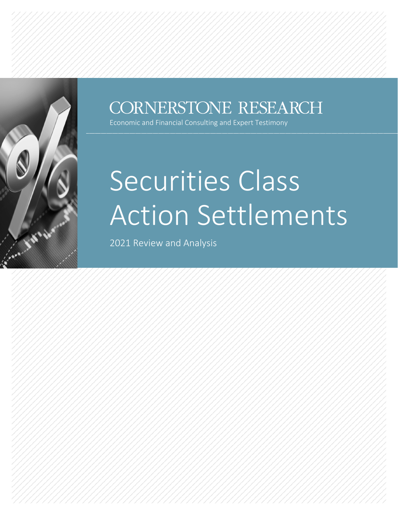

### CORNERSTONE RESEARCH

Economic and Financial Consulting and Expert Testimony

# Securities Class Action Settlements

2021 Review and Analysis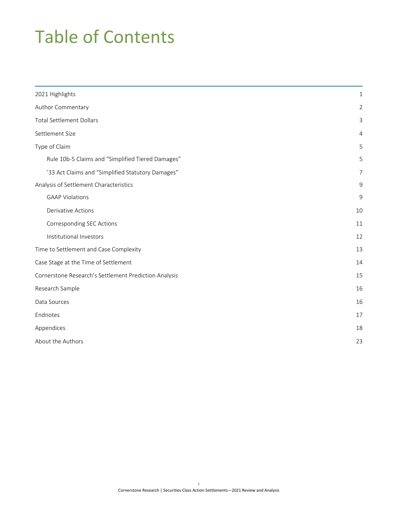# Table of Contents

| 2021 Highlights                                       | 1  |
|-------------------------------------------------------|----|
| Author Commentary                                     |    |
| <b>Total Settlement Dollars</b>                       |    |
| Settlement Size                                       |    |
| Type of Claim                                         |    |
| Rule 10b-5 Claims and "Simplified Tiered Damages"     | 5  |
| '33 Act Claims and "Simplified Statutory Damages"     | 7  |
| Analysis of Settlement Characteristics                | 9  |
| <b>GAAP Violations</b>                                | 9  |
| Derivative Actions                                    | 10 |
| Corresponding SEC Actions                             | 11 |
| Institutional Investors                               | 12 |
| Time to Settlement and Case Complexity                | 13 |
| Case Stage at the Time of Settlement                  | 14 |
| Cornerstone Research's Settlement Prediction Analysis | 15 |
| Research Sample                                       | 16 |
| Data Sources                                          | 16 |
| Endnotes                                              | 17 |
| Appendices                                            | 18 |
| About the Authors                                     | 23 |
|                                                       |    |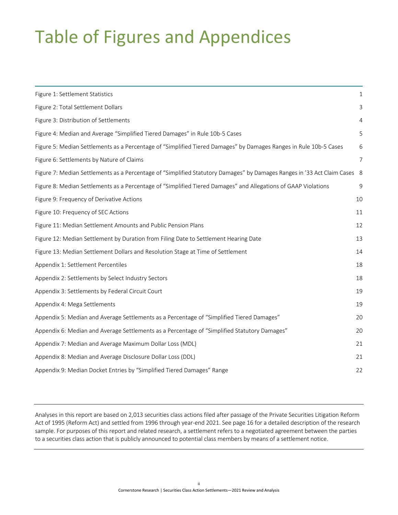# Table of Figures and Appendices

| Figure 1: Settlement Statistics                                                                                           | 1  |
|---------------------------------------------------------------------------------------------------------------------------|----|
| Figure 2: Total Settlement Dollars                                                                                        |    |
| Figure 3: Distribution of Settlements                                                                                     |    |
| Figure 4: Median and Average "Simplified Tiered Damages" in Rule 10b-5 Cases                                              | 5  |
| Figure 5: Median Settlements as a Percentage of "Simplified Tiered Damages" by Damages Ranges in Rule 10b-5 Cases         | 6  |
| Figure 6: Settlements by Nature of Claims                                                                                 |    |
| Figure 7: Median Settlements as a Percentage of "Simplified Statutory Damages" by Damages Ranges in '33 Act Claim Cases 8 |    |
| Figure 8: Median Settlements as a Percentage of "Simplified Tiered Damages" and Allegations of GAAP Violations            | 9  |
| Figure 9: Frequency of Derivative Actions                                                                                 | 10 |
| Figure 10: Frequency of SEC Actions                                                                                       | 11 |
| Figure 11: Median Settlement Amounts and Public Pension Plans                                                             | 12 |
| Figure 12: Median Settlement by Duration from Filing Date to Settlement Hearing Date                                      | 13 |
| Figure 13: Median Settlement Dollars and Resolution Stage at Time of Settlement                                           | 14 |
| Appendix 1: Settlement Percentiles                                                                                        | 18 |
| Appendix 2: Settlements by Select Industry Sectors                                                                        | 18 |
| Appendix 3: Settlements by Federal Circuit Court                                                                          | 19 |
| Appendix 4: Mega Settlements                                                                                              | 19 |
| Appendix 5: Median and Average Settlements as a Percentage of "Simplified Tiered Damages"                                 | 20 |
| Appendix 6: Median and Average Settlements as a Percentage of "Simplified Statutory Damages"                              | 20 |
| Appendix 7: Median and Average Maximum Dollar Loss (MDL)                                                                  | 21 |
| Appendix 8: Median and Average Disclosure Dollar Loss (DDL)                                                               | 21 |
| Appendix 9: Median Docket Entries by "Simplified Tiered Damages" Range                                                    | 22 |

Analyses in this report are based on 2,013 securities class actions filed after passage of the Private Securities Litigation Reform Act of 1995 (Reform Act) and settled from 1996 through year-end 2021. See [page](#page-18-0) 16 for a detailed description of the research sample. For purposes of this report and related research, a settlement refers to a negotiated agreement between the parties to a securities class action that is publicly announced to potential class members by means of a settlement notice.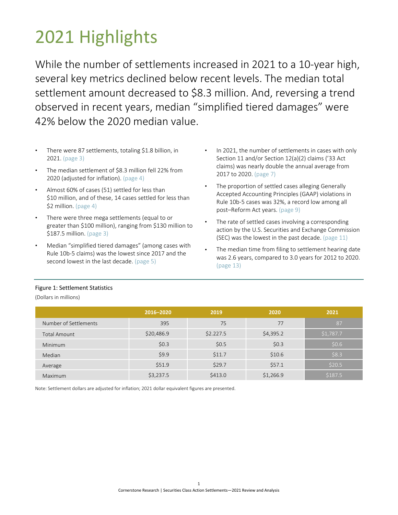# <span id="page-3-0"></span>2021 Highlights

While the number of settlements increased in 2021 to a 10-year high, several key metrics declined below recent levels. The median total settlement amount decreased to \$8.3 million. And, reversing a trend observed in recent years, median "simplified tiered damages" were 42% below the 2020 median value.

- There were 87 settlements, totaling \$1.8 billion, in 2021. [\(page](#page-5-0) 3)
- The median settlement of \$8.3 million fell 22% from 2020 (adjusted for inflation). [\(page](#page-6-0) 4)
- Almost 60% of cases (51) settled for less than \$10 million, and of these, 14 cases settled for less than \$2 million. [\(page](#page-6-0) 4)
- There were three mega settlements (equal to or greater than \$100 million), ranging from \$130 million to \$187.5 million. [\(page](#page-5-0) 3)
- Median "simplified tiered damages" (among cases with Rule 10b-5 claims) was the lowest since 2017 and the second lowest in the last decade. [\(page 5\)](#page-7-0)
- In 2021, the number of settlements in cases with only Section 11 and/or Section 12(a)(2) claims ('33 Act claims) was nearly double the annual average from 2017 to 2020. [\(page 7\)](#page-9-0)
- The proportion of settled cases alleging Generally Accepted Accounting Principles (GAAP) violations in Rule 10b-5 cases was 32%, a record low among all post–Reform Act years. [\(page](#page-11-2) 9)
- The rate of settled cases involving a corresponding action by the U.S. Securities and Exchange Commission (SEC) was the lowest in the past decade. [\(page](#page-13-0) 11)
- The median time from filing to settlement hearing date was 2.6 years, compared to 3.0 years for 2012 to 2020. [\(page](#page-15-0) 13)

#### <span id="page-3-1"></span>Figure 1: Settlement Statistics

(Dollars in millions)

|                       | 2016-2020  | 2019      | 2020      | 2021      |
|-----------------------|------------|-----------|-----------|-----------|
| Number of Settlements | 395        | 75        | 77        | 87        |
| <b>Total Amount</b>   | \$20,486.9 | \$2.227.5 | \$4,395.2 | \$1,787.7 |
| <b>Minimum</b>        | \$0.3      | \$0.5     | \$0.3     | \$0.6     |
| Median                | \$9.9      | \$11.7    | \$10.6    | \$8.3     |
| Average               | \$51.9     | \$29.7    | \$57.1    | \$20.5    |
| <b>Maximum</b>        | \$3,237.5  | \$413.0   | \$1,266.9 | \$187.5   |

Note: Settlement dollars are adjusted for inflation; 2021 dollar equivalent figures are presented.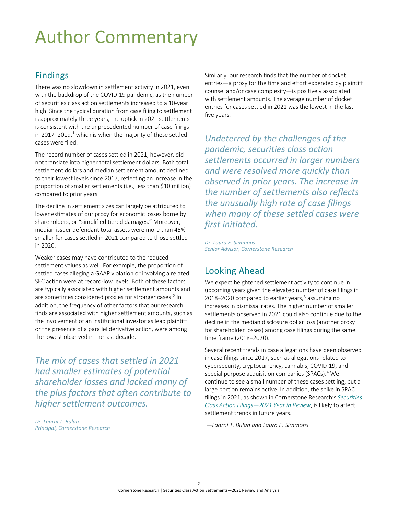# <span id="page-4-0"></span>Author Commentary

### Findings

There was no slowdown in settlement activity in 2021, even with the backdrop of the COVID-19 pandemic, as the number of securities class action settlements increased to a 10-year high. Since the typical duration from case filing to settlement is approximately three years, the uptick in 2021 settlements is consistent with the unprecedented number of case filings in 20[1](#page-19-1)7–2019, $^1$  which is when the majority of these settled cases were filed.

The record number of cases settled in 2021, however, did not translate into higher total settlement dollars. Both total settlement dollars and median settlement amount declined to their lowest levels since 2017, reflecting an increase in the proportion of smaller settlements (i.e., less than \$10 million) compared to prior years.

The decline in settlement sizes can largely be attributed to lower estimates of our proxy for economic losses borne by shareholders, or "simplified tiered damages." Moreover, median issuer defendant total assets were more than 45% smaller for cases settled in 2021 compared to those settled in 2020.

Weaker cases may have contributed to the reduced settlement values as well. For example, the proportion of settled cases alleging a GAAP violation or involving a related SEC action were at record-low levels. Both of these factors are typically associated with higher settlement amounts and are sometimes considered proxies for stronger cases.<sup>2</sup> In addition, the frequency of other factors that our research finds are associated with higher settlement amounts, such as the involvement of an institutional investor as lead plaintiff or the presence of a parallel derivative action, were among the lowest observed in the last decade.

*The mix of cases that settled in 2021 had smaller estimates of potential shareholder losses and lacked many of the plus factors that often contribute to higher settlement outcomes.* 

*Dr. Laarni T. Bulan Principal, Cornerstone Research* Similarly, our research finds that the number of docket entries—a proxy for the time and effort expended by plaintiff counsel and/or case complexity—is positively associated with settlement amounts. The average number of docket entries for cases settled in 2021 was the lowest in the last five years.

*Undeterred by the challenges of the pandemic, securities class action settlements occurred in larger numbers and were resolved more quickly than observed in prior years. The increase in the number of settlements also reflects the unusually high rate of case filings when many of these settled cases were first initiated.* 

*Dr. Laura E. Simmons Senior Advisor, Cornerstone Research*

### Looking Ahead

We expect heightened settlement activity to continue in upcoming years given the elevated number of case filings in 2018–2020 compared to earlier years, [3](#page-19-1) assuming no increases in dismissal rates. The higher number of smaller settlements observed in 2021 could also continue due to the decline in the median disclosure dollar loss (another proxy for shareholder losses) among case filings during the same time frame (2018–2020).

Several recent trends in case allegations have been observed in case filings since 2017, such as allegations related to cybersecurity, cryptocurrency, cannabis, COVID-19, and special purpose acquisition companies (SPACs).<sup>4</sup> We continue to see a small number of these cases settling, but a large portion remains active. In addition, the spike in SPAC filings in 2021, as shown in [Cornerstone Research's](https://www.cornerstone.com/wp-content/uploads/2022/02/Securities-Class-Action-Filings-2021-Year-in-Review.pdf) *Securities [Class Action Filings—2021 Year in Review](https://www.cornerstone.com/wp-content/uploads/2022/02/Securities-Class-Action-Filings-2021-Year-in-Review.pdf)*, is likely to affect settlement trends in future years.

*—Laarni T. Bulan and Laura E. Simmons*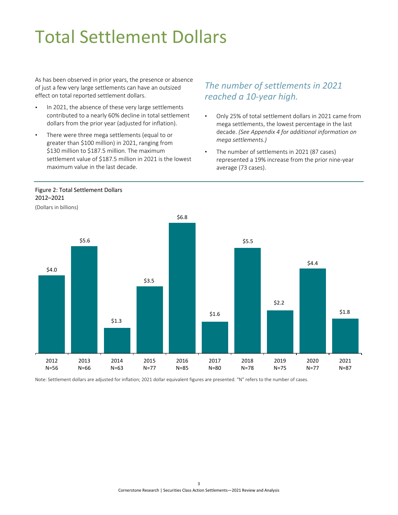# <span id="page-5-0"></span>Total Settlement Dollars

As has been observed in prior years, the presence or absence of just a few very large settlements can have an outsized effect on total reported settlement dollars.

- In 2021, the absence of these very large settlements contributed to a nearly 60% decline in total settlement dollars from the prior year (adjusted for inflation).
- There were three mega settlements (equal to or greater than \$100 million) in 2021, ranging from \$130 million to \$187.5 million. The maximum settlement value of \$187.5 million in 2021 is the lowest maximum value in the last decade.

<span id="page-5-1"></span>Figure 2: Total Settlement Dollars

### *The number of settlements in 2021 reached a 10-year high.*

- Only 25% of total settlement dollars in 2021 came from mega settlements, the lowest percentage in the last decade. *(See Appendix 4 for additional information on mega settlements.)*
- The number of settlements in 2021 (87 cases) represented a 19% increase from the prior nine-year average (73 cases).



Note: Settlement dollars are adjusted for inflation; 2021 dollar equivalent figures are presented. "N" refers to the number of cases.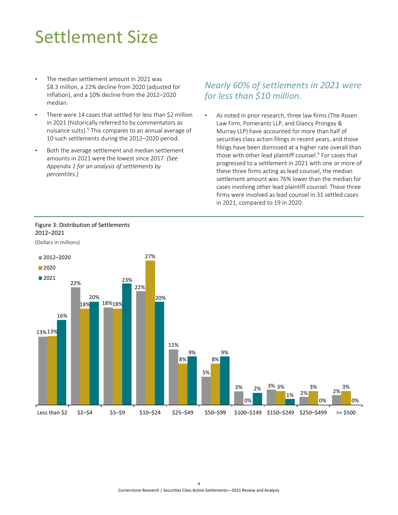# <span id="page-6-0"></span>Settlement Size

- The median settlement amount in 2021 was \$8.3 million, a 22% decline from 2020 (adjusted for inflation), and a 10% decline from the 2012–2020 median.
- There were 14 cases that settled for less than \$2 million in 2021 (historically referred to by commentators as nuisance suits).<sup>5</sup> This compares to an annual average of 10 such settlements during the 2012–2020 period.
- Both the average settlement and median settlement amounts in 2021 were the lowest since 2017. *(See [Appendix 1 for an analysis of settlements by](#page-20-3)  percentiles.)*

#### *Nearly 60% of settlements in 2021 were for less than \$10 million.*

As noted in prior research, three law firms (The Rosen Law Firm, Pomerantz LLP, and Glancy Prongay & Murray LLP) have accounted for more than half of securities class action filings in recent years, and those filings have been dismissed at a higher rate overall than those with other lead plaintiff counsel. [6](#page-19-1) For cases that progressed to a settlement in 2021 with one or more of these three firms acting as lead counsel, the median settlement amount was 76% lower than the median for cases involving other lead plaintiff counsel. These three firms were involved as lead counsel in 31 settled cases in 2021, compared to 19 in 2020.



ł

#### <span id="page-6-1"></span>Figure 3: Distribution of Settlements 2012–2021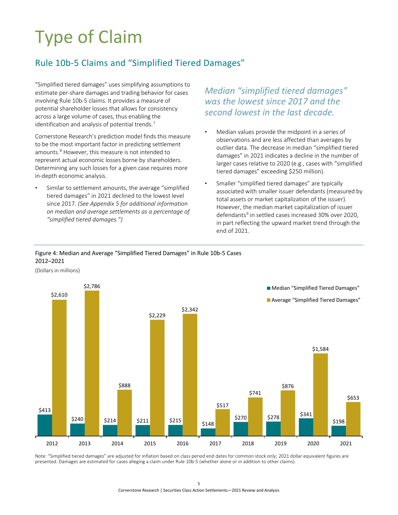# <span id="page-7-0"></span>Type of Claim

### <span id="page-7-1"></span>Rule 10b-5 Claims and "Simplified Tiered Damages"

"Simplified tiered damages" uses simplifying assumptions to estimate per-share damages and trading behavior for cases involving Rule 10b-5 claims. It provides a measure of potential shareholder losses that allows for consistency across a large volume of cases, thus enabling the identification and analysis of potential trends. $7$ 

Cornerstone Research's prediction model finds this measure to be the most important factor in predicting settlement amounts. [8](#page-19-1) However, this measure is not intended to represent actual economic losses borne by shareholders. Determining any such losses for a given case requires more in-depth economic analysis.

Similar to settlement amounts, the average "simplified tiered damages" in 2021 declined to the lowest level since 2017. *[\(See Appendix 5 for additional information](#page-22-2)  on median and average settlements as a percentage of "simplified tiered damages.")*

*Median "simplified tiered damages" was the lowest since 2017 and the second lowest in the last decade.* 

- Median values provide the midpoint in a series of observations and are less affected than averages by outlier data. The decrease in median "simplified tiered damages" in 2021 indicates a decline in the number of larger cases relative to 2020 (e.g., cases with "simplified tiered damages" exceeding \$250 million).
- Smaller "simplified tiered damages" are typically associated with smaller issuer defendants (measured by total assets or market capitalization of the issuer). However, the median market capitalization of issuer defendants<sup>9</sup> in settled cases increased 30% over 2020, in part reflecting the upward market trend through the end of 2021.

#### <span id="page-7-2"></span>Figure 4: Median and Average "Simplified Tiered Damages" in Rule 10b-5 Cases  2012–2021

(Dollars in millions)



Note: "Simplified tiered damages" are adjusted for inflation based on class period end dates for common stock only; 2021 dollar equivalent figures are presented. Damages are estimated for cases alleging a claim under Rule 10b-5 (whether alone or in addition to other claims).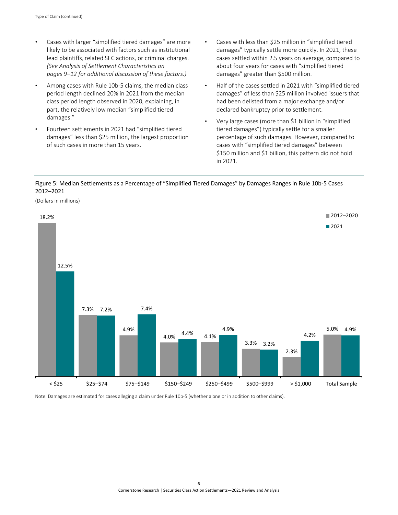- Cases with larger "simplified tiered damages" are more likely to be associated with factors such as institutional lead plaintiffs, related SEC actions, or criminal charges. *(See [Analysis of Settlement Characteristics](#page-11-0) on pages 9–12 [for additional discussion of these factors.\)](#page-11-0)*
- Among cases with Rule 10b-5 claims, the median class period length declined 20% in 2021 from the median class period length observed in 2020, explaining, in part, the relatively low median "simplified tiered damages."
- Fourteen settlements in 2021 had "simplified tiered damages" less than \$25 million, the largest proportion of such cases in more than 15 years.
- Cases with less than \$25 million in "simplified tiered damages" typically settle more quickly. In 2021, these cases settled within 2.5 years on average, compared to about four years for cases with "simplified tiered damages" greater than \$500 million.
- Half of the cases settled in 2021 with "simplified tiered damages" of less than \$25 million involved issuers that had been delisted from a major exchange and/or declared bankruptcy prior to settlement.
- Very large cases (more than \$1 billion in "simplified tiered damages") typically settle for a smaller percentage of such damages. However, compared to cases with "simplified tiered damages" between \$150 million and \$1 billion, this pattern did not hold in 2021.

#### <span id="page-8-0"></span>Figure 5: Median Settlements as a Percentage of "Simplified Tiered Damages" by Damages Ranges in Rule 10b-5 Cases 2012–2021



Note: Damages are estimated for cases alleging a claim under Rule 10b-5 (whether alone or in addition to other claims).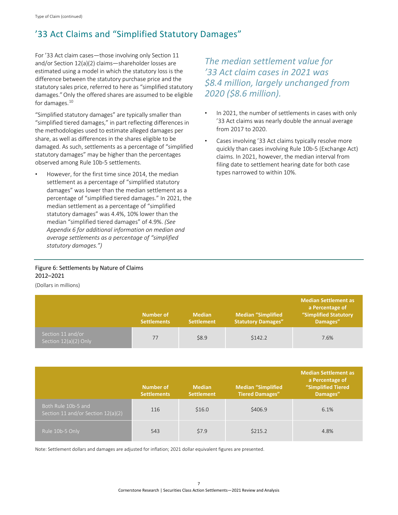### <span id="page-9-0"></span>'33 Act Claims and "Simplified Statutory Damages"

For '33 Act claim cases—those involving only Section 11 and/or Section 12(a)(2) claims—shareholder losses are estimated using a model in which the statutory loss is the difference between the statutory purchase price and the statutory sales price, referred to here as "simplified statutory damages."Only the offered shares are assumed to be eligible for damages. $10$ 

"Simplified statutory damages" are typically smaller than "simplified tiered damages," in part reflecting differences in the methodologies used to estimate alleged damages per share, as well as differences in the shares eligible to be damaged. As such, settlements as a percentage of "simplified statutory damages" may be higher than the percentages observed among Rule 10b-5 settlements.

However, for the first time since 2014, the median settlement as a percentage of "simplified statutory damages" was lower than the median settlement as a percentage of "simplified tiered damages." In 2021, the median settlement as a percentage of "simplified statutory damages" was 4.4%, 10% lower than the median "simplified tiered damages" of 4.9%. *(See [Appendix 6 for additional information on median and](#page-22-2)  average settlements as a percentage of "simplified statutory damages.")*

*The median settlement value for '33 Act claim cases in 2021 was \$8.4 million, largely unchanged from 2020 (\$8.6 million).* 

- In 2021, the number of settlements in cases with only '33 Act claims was nearly double the annual average from 2017 to 2020.
- Cases involving '33 Act claims typically resolve more quickly than cases involving Rule 10b-5 (Exchange Act) claims. In 2021, however, the median interval from filing date to settlement hearing date for both case types narrowed to within 10%.

#### <span id="page-9-1"></span>Figure 6: Settlements by Nature of Claims 2012–2021

(Dollars in millions)

|                                            | Number of<br><b>Settlements</b> | <b>Median</b><br><b>Settlement</b> | <b>Median "Simplified</b><br><b>Statutory Damages"</b> | <b>Median Settlement as</b><br>a Percentage of<br><b>"Simplified Statutory</b><br>Damages" |
|--------------------------------------------|---------------------------------|------------------------------------|--------------------------------------------------------|--------------------------------------------------------------------------------------------|
| Section 11 and/or<br>Section 12(a)(2) Only | 77                              | \$8.9                              | \$142.2                                                | 7.6%                                                                                       |

|                                                           | Number of<br><b>Settlements</b> | <b>Median</b><br><b>Settlement</b> | <b>Median "Simplified</b><br><b>Tiered Damages"</b> | <b>Median Settlement as</b><br>a Percentage of<br>"Simplified Tiered<br>Damages" |
|-----------------------------------------------------------|---------------------------------|------------------------------------|-----------------------------------------------------|----------------------------------------------------------------------------------|
| Both Rule 10b-5 and<br>Section 11 and/or Section 12(a)(2) | 116                             | \$16.0                             | \$406.9                                             | 6.1%                                                                             |
| Rule 10b-5 Only                                           | 543                             | \$7.9                              | \$215.2                                             | 4.8%                                                                             |

Note: Settlement dollars and damages are adjusted for inflation; 2021 dollar equivalent figures are presented.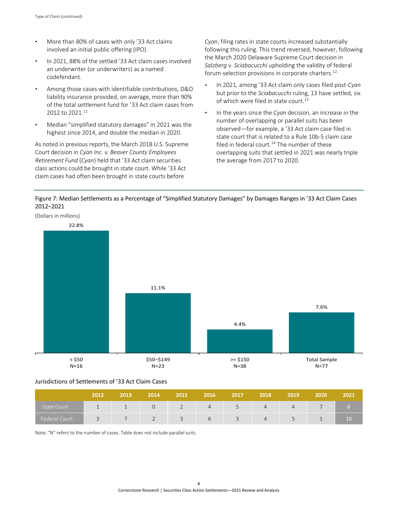- More than 80% of cases with only '33 Act claims involved an initial public offering (IPO).
- In 2021, 88% of the settled '33 Act claim cases involved an underwriter (or underwriters) as a named codefendant.
- Among those cases with identifiable contributions, D&O liability insurance provided, on average, more than 90% of the total settlement fund for '33 Act claim cases from 2012 to 2021.<sup>11</sup>
- Median "simplified statutory damages" in 2021 was the highest since 2014, and double the median in 2020.

As noted in previous reports, the March 2018 U.S. Supreme Court decision in *Cyan Inc. v. Beaver County Employees Retirement Fund* (*Cyan*) held that '33 Act claim securities class actions could be brought in state court. While '33 Act claim cases had often been brought in state courts before 

*Cyan*, filing rates in state courts increased substantially following this ruling. This trend reversed, however, following the March 2020 Delaware Supreme Court decision in *Salzberg v. Sciabacucchi* upholding the validity of federal forum-selection provisions in corporate charters. [12](#page-19-1) 

- In 2021, among '33 Act claim only cases filed post-*Cyan* but prior to the *Sciabacucchi* ruling, 13 have settled, six of which were filed in state court.<sup>13</sup>
- In the years since the *Cyan* decision, an increase in the number of overlapping or parallel suits has been observed—for example, a '33 Act claim case filed in state court that is related to a Rule 10b-5 claim case filed in federal court.<sup>14</sup> The number of these overlapping suits that settled in 2021 was nearly triple the average from 2017 to 2020.

<span id="page-10-0"></span>



#### Jurisdictions of Settlements of '33 Act Claim Cases

|                      | 2012        | 2013 | 2014 | 2015                  | 2016 | 2017                  | 2018 | 2019 | 2020 | 2021 |
|----------------------|-------------|------|------|-----------------------|------|-----------------------|------|------|------|------|
| <b>State Court</b>   |             |      |      |                       | 4    |                       | 4    |      |      |      |
| <b>Federal Court</b> | $\check{ }$ |      |      | $\tilde{\phantom{a}}$ |      | $\tilde{\phantom{a}}$ | 4    |      |      | 10   |

Note: "N" refers to the number of cases. Table does not include parallel suits.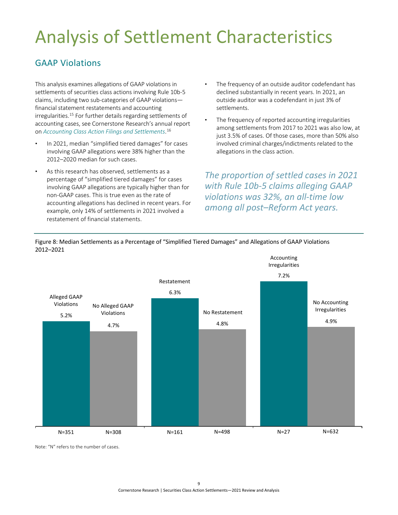# <span id="page-11-0"></span>Analysis of Settlement Characteristics

### <span id="page-11-1"></span>GAAP Violations

This analysis examines allegations of GAAP violations in settlements of securities class actions involving Rule 10b-5 claims, including two sub-categories of GAAP violations financial statement restatements and accounting irregularities[.15](#page-19-1) For further details regarding settlements of accounting cases, see Cornerstone Research's annual report on *Accounting Class Action Filings and Settlements*. [16](#page-19-1)

- In 2021, median "simplified tiered damages" for cases involving GAAP allegations were 38% higher than the 2012–2020 median for such cases.
- As this research has observed, settlements as a percentage of "simplified tiered damages" for cases involving GAAP allegations are typically higher than for non-GAAP cases. This is true even as the rate of accounting allegations has declined in recent years. For example, only 14% of settlements in 2021 involved a restatement of financial statements.
- The frequency of an outside auditor codefendant has declined substantially in recent years. In 2021, an outside auditor was a codefendant in just 3% of settlements.
- The frequency of reported accounting irregularities among settlements from 2017 to 2021 was also low, at just 3.5% of cases. Of those cases, more than 50% also involved criminal charges/indictments related to the allegations in the class action.

*The proportion of settled cases in 2021 with Rule 10b-5 claims alleging GAAP violations was 32%, an all-time low among all post–Reform Act years.*



<span id="page-11-2"></span>Figure 8: Median Settlements as a Percentage of "Simplified Tiered Damages" and Allegations of GAAP Violations 2012–2021 

Note: "N" refers to the number of cases.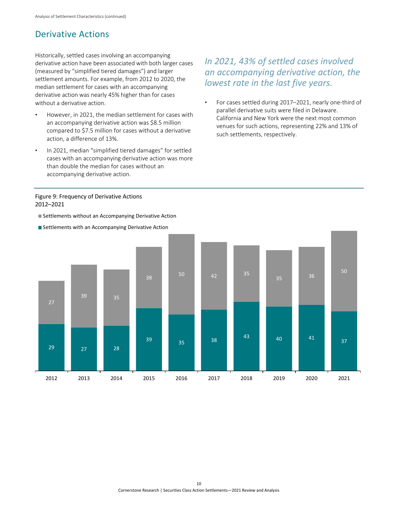### <span id="page-12-0"></span>Derivative Actions

Historically, settled cases involving an accompanying derivative action have been associated with both larger cases (measured by "simplified tiered damages") and larger settlement amounts. For example, from 2012 to 2020, the median settlement for cases with an accompanying derivative action was nearly 45% higher than for cases without a derivative action.

- However, in 2021, the median settlement for cases with an accompanying derivative action was \$8.5 million compared to \$7.5 million for cases without a derivative action, a difference of 13%.
- In 2021, median "simplified tiered damages" for settled cases with an accompanying derivative action was more than double the median for cases without an accompanying derivative action.

### *In 2021, 43% of settled cases involved an accompanying derivative action, the lowest rate in the last five years.*

• For cases settled during 2017–2021, nearly one-third of parallel derivative suits were filed in Delaware. California and New York were the next most common venues for such actions, representing 22% and 13% of such settlements, respectively.

#### <span id="page-12-1"></span>Figure 9: Frequency of Derivative Actions 2012–2021

Settlements without an Accompanying Derivative Action



Settlements with an Accompanying Derivative Action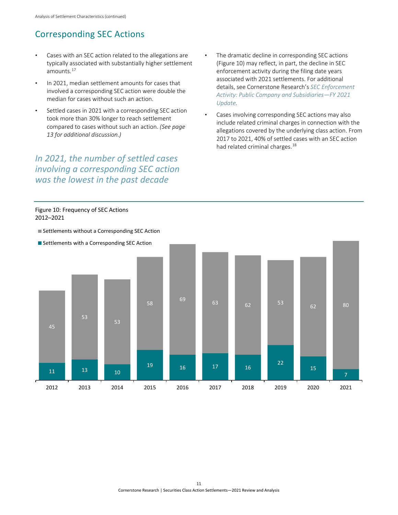### <span id="page-13-0"></span>Corresponding SEC Actions

- Cases with an SEC action related to the allegations are typically associated with substantially higher settlement amounts[.17](#page-19-1)
- In 2021, median settlement amounts for cases that involved a corresponding SEC action were double the median for cases without such an action.
- Settled cases in 2021 with a corresponding SEC action took more than 30% longer to reach settlement compared to cases without such an action. *[\(See page](#page-15-0)  13 [for additional discussion.\)](#page-15-0)*

*In 2021, the number of settled cases involving a corresponding SEC action was the lowest in the past decade*

<span id="page-13-1"></span>

- The dramatic decline in corresponding SEC actions (Figure 10) may reflect, in part, the decline in SEC enforcement activity during the filing date years associated with 2021 settlements. For additional details, see Cornerstone Research's *[SEC Enforcement](https://www.cornerstone.com/wp-content/uploads/2021/12/SEC-Enforcement-Activity-FY2021-Update.pdf)  [Activity: Public Company and Subsidiaries—FY 2021](https://www.cornerstone.com/wp-content/uploads/2021/12/SEC-Enforcement-Activity-FY2021-Update.pdf)  [Update.](https://www.cornerstone.com/wp-content/uploads/2021/12/SEC-Enforcement-Activity-FY2021-Update.pdf)*
- Cases involving corresponding SEC actions may also include related criminal charges in connection with the allegations covered by the underlying class action. From 2017 to 2021, 40% of settled cases with an SEC action had related criminal charges.<sup>18</sup>

#### Figure 10: Frequency of SEC Actions 2012–2021

. . . . . . . .



..................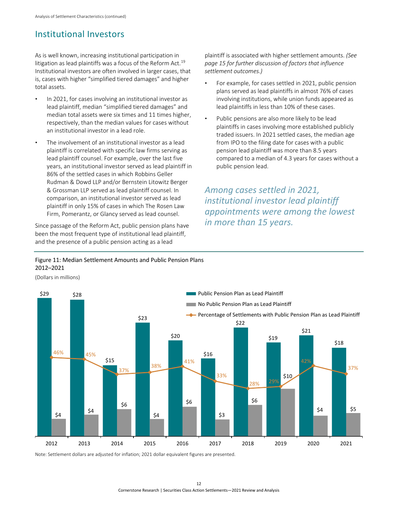### <span id="page-14-0"></span>Institutional Investors

As is well known, increasing institutional participation in litigation as lead plaintiffs was a focus of the Reform Act.<sup>[19](#page-19-1)</sup> Institutional investors are often involved in larger cases, that is, cases with higher "simplified tiered damages" and higher total assets.

- In 2021, for cases involving an institutional investor as lead plaintiff, median "simplified tiered damages" and median total assets were six times and 11 times higher, respectively, than the median values for cases without an institutional investor in a lead role.
- The involvement of an institutional investor as a lead plaintiff is correlated with specific law firms serving as lead plaintiff counsel. For example, over the last five years, an institutional investor served as lead plaintiff in 86% of the settled cases in which Robbins Geller Rudman & Dowd LLP and/or Bernstein Litowitz Berger & Grossman LLP served as lead plaintiff counsel. In comparison, an institutional investor served as lead plaintiff in only 15% of cases in which The Rosen Law Firm, Pomerantz, or Glancy served as lead counsel.

Since passage of the Reform Act, public pension plans have been the most frequent type of institutional lead plaintiff, and the presence of a public pension acting as a lead 

<span id="page-14-1"></span>Figure 11: Median Settlement Amounts and Public Pension Plans  2012–2021

(Dollars in millions)

\$29 \$28 \$15 \$23 \$20 \$16 \$22 \$19 \$21 \$18  $$4$   $$4$ \$6 \$4 \$6 \$3 \$6 \$10  $$4$  \$5 46% 45% 37% 38% 41% 33% 28% 29% 42% 37% 2012 2013 2014 2015 2016 2017 2018 2019 2020 2021 Public Pension Plan as Lead Plaintiff No Public Pension Plan as Lead Plaintiff - Percentage of Settlements with Public Pension Plan as Lead Plaintiff

Note: Settlement dollars are adjusted for inflation; 2021 dollar equivalent figures are presented.

12 Cornerstone Research | Securities Class Action Settlements—2021 Review and Analysis

*page 15 [for further discussion of factors that influe](#page-17-0)nce settlement outcomes.)* • For example, for cases settled in 2021, public pension plans served as lead plaintiffs in almost 76% of cases

plaintiff is associated with higher settlement amounts. *(See* 

- involving institutions, while union funds appeared as lead plaintiffs in less than 10% of these cases.
- Public pensions are also more likely to be lead plaintiffs in cases involving more established publicly traded issuers. In 2021 settled cases, the median age from IPO to the filing date for cases with a public pension lead plaintiff was more than 8.5 years compared to a median of 4.3 years for cases without a public pension lead.

*Among cases settled in 2021, institutional investor lead plaintiff appointments were among the lowest in more than 15 years.*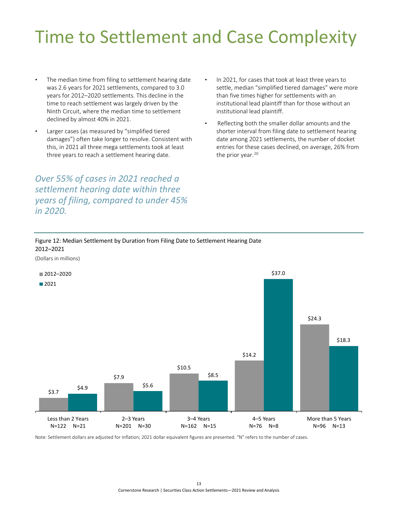# <span id="page-15-0"></span>Time to Settlement and Case Complexity

- The median time from filing to settlement hearing date was 2.6 years for 2021 settlements, compared to 3.0 years for 2012–2020 settlements. This decline in the time to reach settlement was largely driven by the Ninth Circuit, where the median time to settlement declined by almost 40% in 2021.
- Larger cases (as measured by "simplified tiered damages") often take longer to resolve. Consistent with this, in 2021 all three mega settlements took at least three years to reach a settlement hearing date.

*Over 55% of cases in 2021 reached a settlement hearing date within three years of filing, compared to under 45% in 2020.*

- In 2021, for cases that took at least three years to settle, median "simplified tiered damages" were more than five times higher for settlements with an institutional lead plaintiff than for those without an institutional lead plaintiff.
- Reflecting both the smaller dollar amounts and the shorter interval from filing date to settlement hearing date among 2021 settlements, the number of docket entries for these cases declined, on average, 26% from the prior year.<sup>20</sup>

<span id="page-15-1"></span>Figure 12: Median Settlement by Duration from Filing Date to Settlement Hearing Date  2012–2021

(Dollars in millions)



Note: Settlement dollars are adjusted for inflation; 2021 dollar equivalent figures are presented. "N" refers to the number of cases.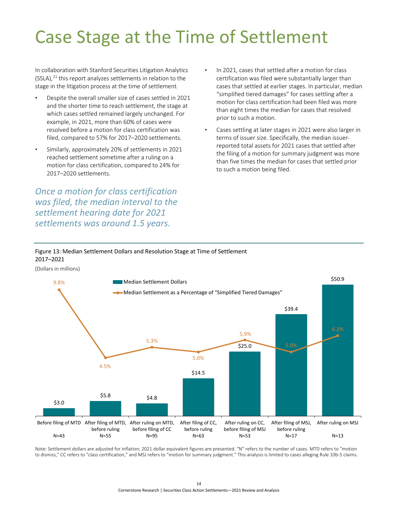# <span id="page-16-0"></span>Case Stage at the Time of Settlement

In collaboration with Stanford Securities Litigation Analytics  $(SSLA)<sup>21</sup>$  this report analyzes settlements in relation to the stage in the litigation process at the time of settlement.

- Despite the overall smaller size of cases settled in 2021 and the shorter time to reach settlement, the stage at which cases settled remained largely unchanged. For example, in 2021, more than 60% of cases were resolved before a motion for class certification was filed, compared to 57% for 2017–2020 settlements.
- Similarly, approximately 20% of settlements in 2021 reached settlement sometime after a ruling on a motion for class certification, compared to 24% for 2017–2020 settlements.

*Once a motion for class certification was filed, the median interval to the settlement hearing date for 2021 settlements was around 1.5 years.* 

- In 2021, cases that settled after a motion for class certification was filed were substantially larger than cases that settled at earlier stages. In particular, median "simplified tiered damages" for cases settling after a motion for class certification had been filed was more than eight times the median for cases that resolved prior to such a motion.
- Cases settling at later stages in 2021 were also larger in terms of issuer size. Specifically, the median issuerreported total assets for 2021 cases that settled after the filing of a motion for summary judgment was more than five times the median for cases that settled prior to such a motion being filed.

#### <span id="page-16-1"></span>Figure 13: Median Settlement Dollars and Resolution Stage at Time of Settlement 2017–2021

(Dollars in millions)



Note: Settlement dollars are adjusted for inflation; 2021 dollar equivalent figures are presented. "N" refers to the number of cases. MTD refers to "motion to dismiss," CC refers to "class certification," and MSJ refers to "motion for summary judgment." This analysis is limited to cases alleging Rule 10b-5 claims.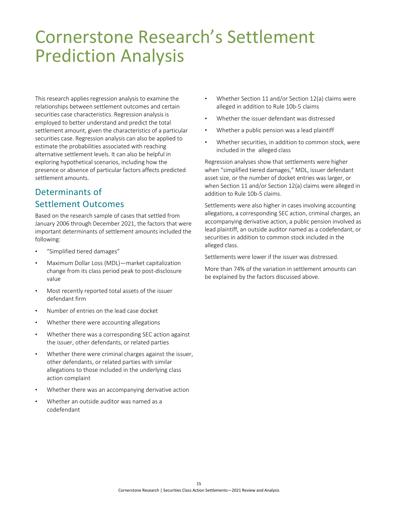### <span id="page-17-0"></span>Cornerstone Research's Settlement Prediction Analysis

This research applies regression analysis to examine the relationships between settlement outcomes and certain securities case characteristics. Regression analysis is employed to better understand and predict the total settlement amount, given the characteristics of a particular securities case. Regression analysis can also be applied to estimate the probabilities associated with reaching alternative settlement levels. It can also be helpful in exploring hypothetical scenarios, including how the presence or absence of particular factors affects predicted settlement amounts.

### Determinants of Settlement Outcomes

Based on the research sample of cases that settled from January 2006 through December 2021, the factors that were important determinants of settlement amounts included the following:

- "Simplified tiered damages"
- Maximum Dollar Loss (MDL)—market capitalization change from its class period peak to post-disclosure value
- Most recently reported total assets of the issuer defendant firm
- Number of entries on the lead case docket
- Whether there were accounting allegations
- Whether there was a corresponding SEC action against the issuer, other defendants, or related parties
- Whether there were criminal charges against the issuer, other defendants, or related parties with similar allegations to those included in the underlying class action complaint
- Whether there was an accompanying derivative action
- Whether an outside auditor was named as a codefendant
- Whether Section 11 and/or Section 12(a) claims were alleged in addition to Rule 10b-5 claims
- Whether the issuer defendant was distressed
- Whether a public pension was a lead plaintiff
- Whether securities, in addition to common stock, were included in the alleged class

Regression analyses show that settlements were higher when "simplified tiered damages," MDL, issuer defendant asset size, or the number of docket entries was larger, or when Section 11 and/or Section 12(a) claims were alleged in addition to Rule 10b-5 claims.

Settlements were also higher in cases involving accounting allegations, a corresponding SEC action, criminal charges, an accompanying derivative action, a public pension involved as lead plaintiff, an outside auditor named as a codefendant, or securities in addition to common stock included in the alleged class.

Settlements were lower if the issuer was distressed.

More than 74% of the variation in settlement amounts can be explained by the factors discussed above.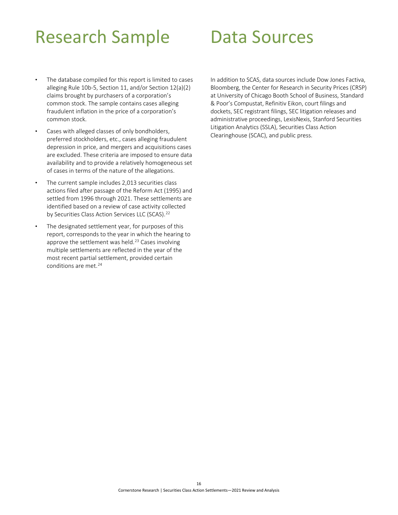### <span id="page-18-0"></span>Research Sample

### <span id="page-18-1"></span>Data Sources

- The database compiled for this report is limited to cases alleging Rule 10b-5, Section 11, and/or Section 12(a)(2) claims brought by purchasers of a corporation's common stock. The sample contains cases alleging fraudulent inflation in the price of a corporation's common stock.
- Cases with alleged classes of only bondholders, preferred stockholders, etc., cases alleging fraudulent depression in price, and mergers and acquisitions cases are excluded. These criteria are imposed to ensure data availability and to provide a relatively homogeneous set of cases in terms of the nature of the allegations.
- The current sample includes 2,013 securities class actions filed after passage of the Reform Act (1995) and settled from 1996 through 2021. These settlements are identified based on a review of case activity collected by Securities Class Action Services LLC (SCAS).<sup>22</sup>
- The designated settlement year, for purposes of this report, corresponds to the year in which the hearing to approve the settlement was held.<sup>23</sup> Cases involving multiple settlements are reflected in the year of the most recent partial settlement, provided certain conditions are met.<sup>24</sup>

In addition to SCAS, data sources include Dow Jones Factiva, Bloomberg, the Center for Research in Security Prices (CRSP) at University of Chicago Booth School of Business, Standard & Poor's Compustat, Refinitiv Eikon, court filings and dockets, SEC registrant filings, SEC litigation releases and administrative proceedings, LexisNexis, Stanford Securities Litigation Analytics (SSLA), Securities Class Action Clearinghouse (SCAC), and public press.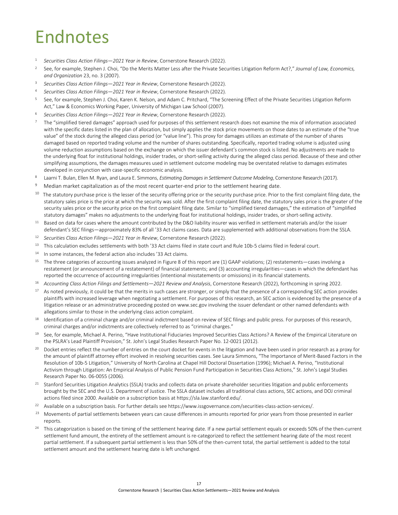# <span id="page-19-1"></span><span id="page-19-0"></span>Endnotes

- <sup>1</sup> *[Securities Class Action Filings—2021 Year in Review](https://www.cornerstone.com/wp-content/uploads/2022/02/Securities-Class-Action-Filings-2021-Year-in-Review.pdf)*, Cornerstone Research (2022).
- <sup>2</sup> See, for example, Stephen J. Choi, "Do the Merits Matter Less after the Private Securities Litigation Reform Act?," *Journal of Law, Economics, and Organization* 23, no. 3 (2007).
- <sup>3</sup> *[Securities Class Action Filings—2021 Year in Review](https://www.cornerstone.com/wp-content/uploads/2022/02/Securities-Class-Action-Filings-2021-Year-in-Review.pdf)*, Cornerstone Research (2022).
- <sup>4</sup> *[Securities Class Action Filings—2021 Year in Review](https://www.cornerstone.com/wp-content/uploads/2022/02/Securities-Class-Action-Filings-2021-Year-in-Review.pdf)*, Cornerstone Research (2022).
- <sup>5</sup> See, for example, Stephen J. Choi, Karen K. Nelson, and Adam C. Pritchard, "The Screening Effect of the Private Securities Litigation Reform Act," Law & Economics Working Paper, University of Michigan Law School (2007).
- <sup>6</sup> *[Securities Class Action Filings—2021 Year in Review](https://www.cornerstone.com/wp-content/uploads/2022/02/Securities-Class-Action-Filings-2021-Year-in-Review.pdf)*, Cornerstone Research (2022).
- <sup>7</sup> The "simplified tiered damages" approach used for purposes of this settlement research does not examine the mix of information associated with the specific dates listed in the plan of allocation, but simply applies the stock price movements on those dates to an estimate of the "true value" of the stock during the alleged class period (or "value line"). This proxy for damages utilizes an estimate of the number of shares damaged based on reported trading volume and the number of shares outstanding. Specifically, reported trading volume is adjusted using volume reduction assumptions based on the exchange on which the issuer defendant's common stock is listed. No adjustments are made to the underlying float for institutional holdings, insider trades, or short-selling activity during the alleged class period. Because of these and other simplifying assumptions, the damages measures used in settlement outcome modeling may be overstated relative to damages estimates developed in conjunction with case-specific economic analysis.
- <sup>8</sup> [Laarni T. Bulan, Ellen M. Ryan, and Laura E. Simmons,](https://www.cornerstone.com/Publications/Research/Estimating-Damages-in-Settlement-Outcome-Modeling.pdf) *Estimating Damages in Settlement Outcome Modeling*, Cornerstone Research (2017).
- <sup>9</sup> Median market capitalization as of the most recent quarter-end prior to the settlement hearing date.
- <sup>10</sup> The statutory purchase price is the lesser of the security offering price or the security purchase price. Prior to the first complaint filing date, the statutory sales price is the price at which the security was sold. After the first complaint filing date, the statutory sales price is the greater of the security sales price or the security price on the first complaint filing date. Similar to "simplified tiered damages," the estimation of "simplified statutory damages" makes no adjustments to the underlying float for institutional holdings, insider trades, or short-selling activity.
- <sup>11</sup> Based on data for cases where the amount contributed by the D&O liability insurer was verified in settlement materials and/or the issuer defendant's SEC filings—approximately 83% of all '33 Act claims cases. Data are supplemented with additional observations from the SSLA.
- <sup>12</sup> *[Securities Class Action Filings—2021 Year in Review](https://www.cornerstone.com/wp-content/uploads/2022/02/Securities-Class-Action-Filings-2021-Year-in-Review.pdf)*, Cornerstone Research (2022).
- <sup>13</sup> This calculation excludes settlements with both '33 Act claims filed in state court and Rule 10b-5 claims filed in federal court.
- <sup>14</sup> In some instances, the federal action also includes '33 Act claims.
- <sup>15</sup> The three categories of accounting issues analyzed in Figure 8 of this report are (1) GAAP violations; (2) restatements—cases involving a restatement (or announcement of a restatement) of financial statements; and (3) accounting irregularities—cases in which the defendant has reported the occurrence of accounting irregularities (intentional misstatements or omissions) in its financial statements.
- <sup>16</sup> *Accounting Class Action Filings and Settlements—2021 Review and Analysis*, Cornerstone Research (2022), forthcoming in spring 2022.
- <sup>17</sup> As noted previously, it could be that the merits in such cases are stronger, or simply that the presence of a corresponding SEC action provides plaintiffs with increased leverage when negotiating a settlement. For purposes of this research, an SEC action is evidenced by the presence of a litigation release or an administrative proceeding posted o[n www.sec.gov](http://www.sec.gov/) involving the issuer defendant or other named defendants with allegations similar to those in the underlying class action complaint.
- <sup>18</sup> Identification of a criminal charge and/or criminal indictment based on review of SEC filings and public press. For purposes of this research, criminal charges and/or indictments are collectively referred to as "criminal charges."
- <sup>19</sup> See, for example, Michael A. Perino, "Have Institutional Fiduciaries Improved Securities Class Actions? A Review of the Empirical Literature on the PSLRA's Lead Plaintiff Provision," St. John's Legal Studies Research Paper No. 12-0021 (2012).
- <sup>20</sup> Docket entries reflect the number of entries on the court docket for events in the litigation and have been used in prior research as a proxy for the amount of plaintiff attorney effort involved in resolving securities cases. See Laura Simmons, "The Importance of Merit-Based Factors in the Resolution of 10b-5 Litigation," University of North Carolina at Chapel Hill Doctoral Dissertation (1996); Michael A. Perino, "Institutional Activism through Litigation: An Empirical Analysis of Public Pension Fund Participation in Securities Class Actions," St. John's Legal Studies Research Paper No. 06-0055 (2006).
- <sup>21</sup> Stanford Securities Litigation Analytics (SSLA) tracks and collects data on private shareholder securities litigation and public enforcements brought by the SEC and the U.S. Department of Justice. The SSLA dataset includes all traditional class actions, SEC actions, and DOJ criminal actions filed since 2000. Available on a subscription basis a[t https://sla.law.stanford.edu/.](https://sla.law.stanford.edu/)
- <sup>22</sup> Available on a subscription basis. For further details see [https://www.issgovernance.com/securities-class-action-services/.](https://www.issgovernance.com/securities-class-action-services/)
- <sup>23</sup> Movements of partial settlements between years can cause differences in amounts reported for prior years from those presented in earlier reports.
- <sup>24</sup> This categorization is based on the timing of the settlement hearing date. If a new partial settlement equals or exceeds 50% of the then-current settlement fund amount, the entirety of the settlement amount is re-categorized to reflect the settlement hearing date of the most recent partial settlement. If a subsequent partial settlement is less than 50% of the then-current total, the partial settlement is added to the total settlement amount and the settlement hearing date is left unchanged.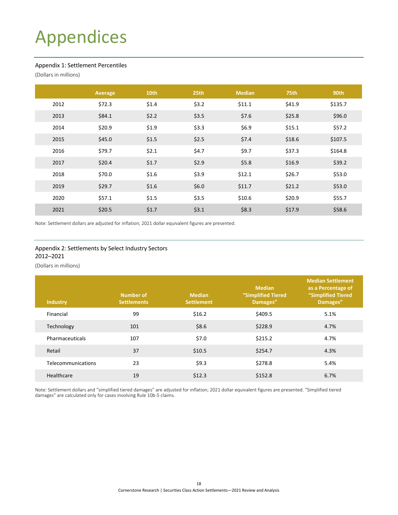# <span id="page-20-3"></span><span id="page-20-0"></span>Appendices

#### <span id="page-20-1"></span>Appendix 1: Settlement Percentiles

(Dollars in millions)

|      | Average | 10th  | 25th  | <b>Median</b> | <b>75th</b> | 90th    |
|------|---------|-------|-------|---------------|-------------|---------|
| 2012 | \$72.3  | \$1.4 | \$3.2 | \$11.1        | \$41.9      | \$135.7 |
| 2013 | \$84.1  | \$2.2 | \$3.5 | \$7.6         | \$25.8      | \$96.0  |
| 2014 | \$20.9  | \$1.9 | \$3.3 | \$6.9         | \$15.1      | \$57.2  |
| 2015 | \$45.0  | \$1.5 | \$2.5 | \$7.4         | \$18.6      | \$107.5 |
| 2016 | \$79.7  | \$2.1 | \$4.7 | \$9.7         | \$37.3      | \$164.8 |
| 2017 | \$20.4  | \$1.7 | \$2.9 | \$5.8         | \$16.9      | \$39.2  |
| 2018 | \$70.0  | \$1.6 | \$3.9 | \$12.1        | \$26.7      | \$53.0  |
| 2019 | \$29.7  | \$1.6 | \$6.0 | \$11.7        | \$21.2      | \$53.0  |
| 2020 | \$57.1  | \$1.5 | \$3.5 | \$10.6        | \$20.9      | \$55.7  |
| 2021 | \$20.5  | \$1.7 | \$3.1 | \$8.3         | \$17.9      | \$58.6  |

Note: Settlement dollars are adjusted for inflation; 2021 dollar equivalent figures are presented.

#### <span id="page-20-2"></span>Appendix 2: Settlements by Select Industry Sectors 2012–2021

(Dollars in millions)

| <b>Industry</b>    | Number of<br><b>Settlements</b> | <b>Median</b><br><b>Settlement</b> | <b>Median</b><br>"Simplified Tiered<br>Damages" | <b>Median Settlement</b><br>as a Percentage of<br>"Simplified Tiered<br>Damages" |
|--------------------|---------------------------------|------------------------------------|-------------------------------------------------|----------------------------------------------------------------------------------|
| Financial          | 99                              | \$16.2                             | \$409.5                                         | 5.1%                                                                             |
| Technology         | 101                             | \$8.6                              | \$228.9                                         | 4.7%                                                                             |
| Pharmaceuticals    | 107                             | \$7.0                              | \$215.2                                         | 4.7%                                                                             |
| Retail             | 37                              | \$10.5                             | \$254.7                                         | 4.3%                                                                             |
| Telecommunications | 23                              | \$9.3                              | \$278.8                                         | 5.4%                                                                             |
| Healthcare         | 19                              | \$12.3                             | \$152.8                                         | 6.7%                                                                             |

Note: Settlement dollars and "simplified tiered damages" are adjusted for inflation; 2021 dollar equivalent figures are presented. "Simplified tiered damages" are calculated only for cases involving Rule 10b-5 claims.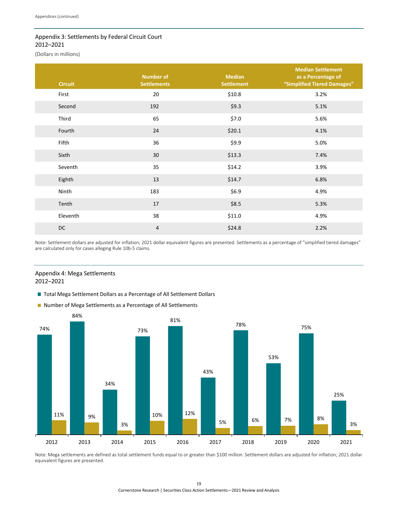#### <span id="page-21-0"></span>Appendix 3: Settlements by Federal Circuit Court 2012–2021

(Dollars in millions)

| <b>Circuit</b> | <b>Number of</b><br><b>Settlements</b> | <b>Median</b><br><b>Settlement</b> | <b>Median Settlement</b><br>as a Percentage of<br>"Simplified Tiered Damages" |
|----------------|----------------------------------------|------------------------------------|-------------------------------------------------------------------------------|
| First          | 20                                     | \$10.8                             | 3.2%                                                                          |
| Second         | 192                                    | \$9.3                              | 5.1%                                                                          |
| Third          | 65                                     | \$7.0                              | 5.6%                                                                          |
| Fourth         | 24                                     | \$20.1                             | 4.1%                                                                          |
| Fifth          | 36                                     | \$9.9                              | 5.0%                                                                          |
| Sixth          | 30                                     | \$13.3                             | 7.4%                                                                          |
| Seventh        | 35                                     | \$14.2                             | 3.9%                                                                          |
| Eighth         | 13                                     | \$14.7                             | 6.8%                                                                          |
| Ninth          | 183                                    | \$6.9                              | 4.9%                                                                          |
| Tenth          | 17                                     | \$8.5                              | 5.3%                                                                          |
| Eleventh       | 38                                     | \$11.0                             | 4.9%                                                                          |
| <b>DC</b>      | $\overline{4}$                         | \$24.8                             | 2.2%                                                                          |

Note: Settlement dollars are adjusted for inflation; 2021 dollar equivalent figures are presented. Settlements as a percentage of "simplified tiered damages" are calculated only for cases alleging Rule 10b-5 claims.

#### <span id="page-21-1"></span>Appendix 4: Mega Settlements 2012–2021

■ Total Mega Settlement Dollars as a Percentage of All Settlement Dollars





Note: Mega settlements are defined as total settlement funds equal to or greater than \$100 million. Settlement dollars are adjusted for inflation; 2021 dollar equivalent figures are presented.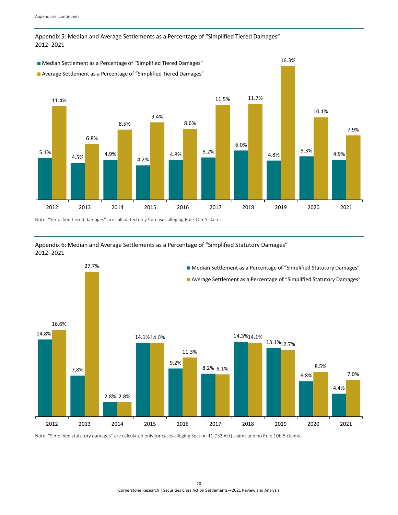#### <span id="page-22-2"></span><span id="page-22-0"></span>Appendix 5: Median and Average Settlements as a Percentage of "Simplified Tiered Damages" 2012–2021



Note: "Simplified tiered damages" are calculated only for cases alleging Rule 10b-5 claims. 

<span id="page-22-1"></span>



Note: "Simplified statutory damages" are calculated only for cases alleging Section 11 ('33 Act) claims and no Rule 10b-5 claims.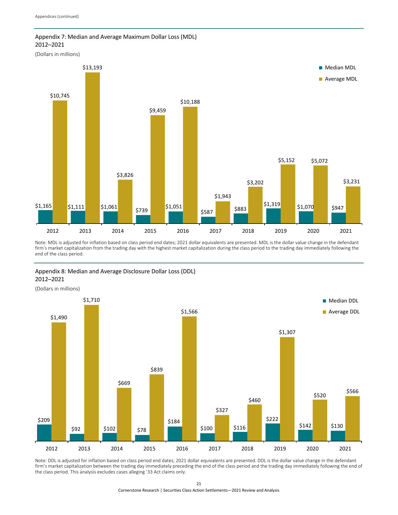#### <span id="page-23-0"></span>Appendix 7: Median and Average Maximum Dollar Loss (MDL)  2012–2021

(Dollars in millions)



Note: MDL is adjusted for inflation based on class period end dates; 2021 dollar equivalents are presented. MDL is the dollar value change in the defendant note: MDL is adjusted for inflation based on class period end dates; 2021 dollar equivalents are presented. MDL is the dollar value change in the defendant<br>firm's market capitalization from the trading day with the highest end of the class period.

#### <span id="page-23-1"></span>Appendix 8: Median and Average Disclosure Dollar Loss (DDL) 2012–2021

(Dollars in millions)



Note: DDL is adjusted for inflation based on class period end dates; 2021 dollar equivalents are presented. DDL is the dollar value change in the defendant firm's market capitalization between the trading day immediately preceding the end of the class period and the trading day immediately following the end of the class period. This analysis excludes cases alleging '33 Act claims only.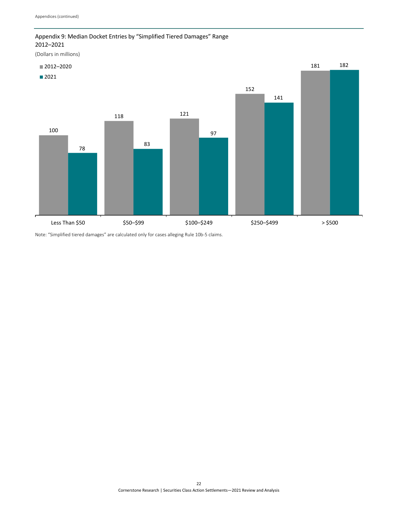#### <span id="page-24-0"></span>Appendix 9: Median Docket Entries by "Simplified Tiered Damages" Range 2012–2021

(Dollars in millions)



Note: "Simplified tiered damages" are calculated only for cases alleging Rule 10b-5 claims.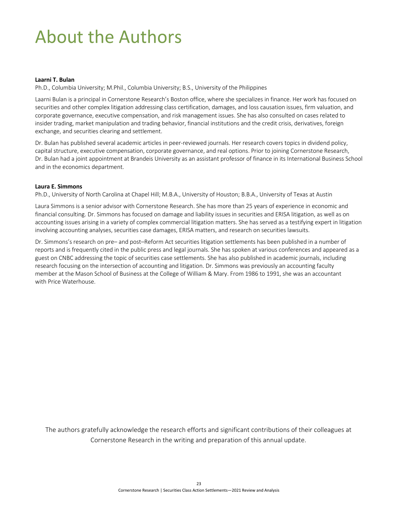# <span id="page-25-0"></span>About the Authors

#### **Laarni T. Bulan**

Ph.D., Columbia University; M.Phil., Columbia University; B.S., University of the Philippines

Laarni Bulan is a principal in Cornerstone Research's Boston office, where she specializes in finance. Her work has focused on securities and other complex litigation addressing class certification, damages, and loss causation issues, firm valuation, and corporate governance, executive compensation, and risk management issues. She has also consulted on cases related to insider trading, market manipulation and trading behavior, financial institutions and the credit crisis, derivatives, foreign exchange, and securities clearing and settlement.

Dr. Bulan has published several academic articles in peer-reviewed journals. Her research covers topics in dividend policy, capital structure, executive compensation, corporate governance, and real options. Prior to joining Cornerstone Research, Dr. Bulan had a joint appointment at Brandeis University as an assistant professor of finance in its International Business School and in the economics department.

#### **Laura E. Simmons**

Ph.D., University of North Carolina at Chapel Hill; M.B.A., University of Houston; B.B.A., University of Texas at Austin

Laura Simmons is a senior advisor with Cornerstone Research. She has more than 25 years of experience in economic and financial consulting. Dr. Simmons has focused on damage and liability issues in securities and ERISA litigation, as well as on accounting issues arising in a variety of complex commercial litigation matters. She has served as a testifying expert in litigation involving accounting analyses, securities case damages, ERISA matters, and research on securities lawsuits.

Dr. Simmons's research on pre– and post–Reform Act securities litigation settlements has been published in a number of reports and is frequently cited in the public press and legal journals. She has spoken at various conferences and appeared as a guest on CNBC addressing the topic of securities case settlements. She has also published in academic journals, including research focusing on the intersection of accounting and litigation. Dr. Simmons was previously an accounting faculty member at the Mason School of Business at the College of William & Mary. From 1986 to 1991, she was an accountant with Price Waterhouse.

The authors gratefully acknowledge the research efforts and significant contributions of their colleagues at Cornerstone Research in the writing and preparation of this annual update.